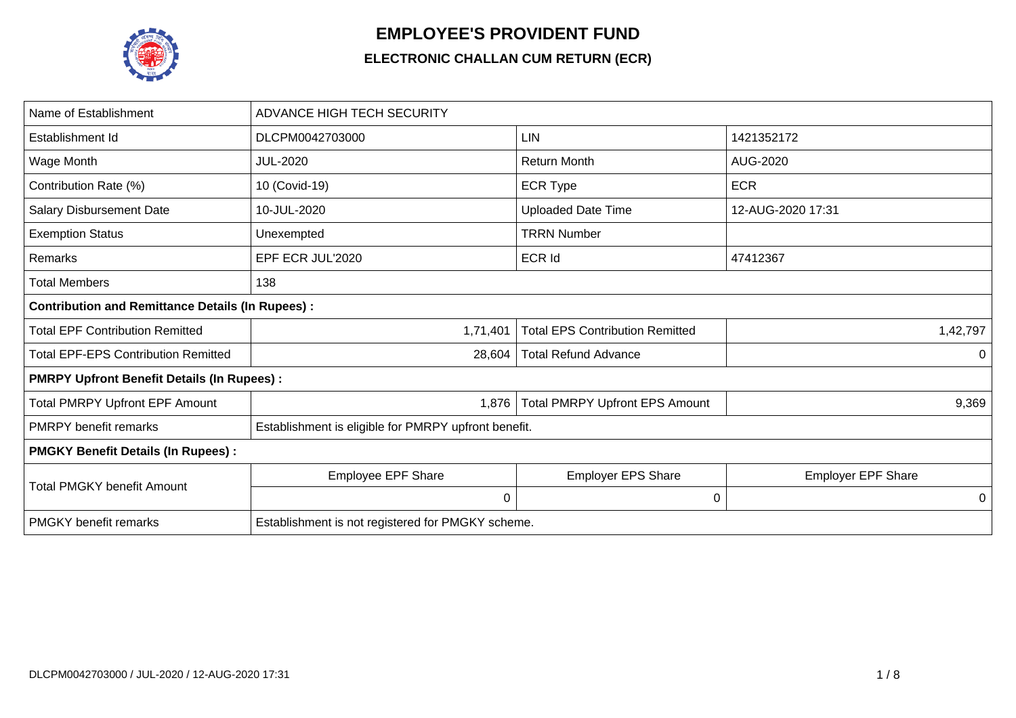

## **EMPLOYEE'S PROVIDENT FUND**

## **ELECTRONIC CHALLAN CUM RETURN (ECR)**

| Name of Establishment                                   | <b>ADVANCE HIGH TECH SECURITY</b>                    |                                        |                           |  |  |  |  |
|---------------------------------------------------------|------------------------------------------------------|----------------------------------------|---------------------------|--|--|--|--|
| Establishment Id                                        | DLCPM0042703000                                      | LIN                                    | 1421352172                |  |  |  |  |
| Wage Month                                              | <b>JUL-2020</b>                                      | <b>Return Month</b>                    | AUG-2020                  |  |  |  |  |
| Contribution Rate (%)                                   | 10 (Covid-19)                                        | <b>ECR Type</b>                        | <b>ECR</b>                |  |  |  |  |
| <b>Salary Disbursement Date</b>                         | 10-JUL-2020                                          | <b>Uploaded Date Time</b>              | 12-AUG-2020 17:31         |  |  |  |  |
| <b>Exemption Status</b>                                 | Unexempted                                           | <b>TRRN Number</b>                     |                           |  |  |  |  |
| Remarks                                                 | EPF ECR JUL'2020                                     | <b>ECR Id</b>                          | 47412367                  |  |  |  |  |
| <b>Total Members</b>                                    | 138                                                  |                                        |                           |  |  |  |  |
| <b>Contribution and Remittance Details (In Rupees):</b> |                                                      |                                        |                           |  |  |  |  |
| <b>Total EPF Contribution Remitted</b>                  | 1,71,401                                             | <b>Total EPS Contribution Remitted</b> | 1,42,797                  |  |  |  |  |
| <b>Total EPF-EPS Contribution Remitted</b>              | 28,604                                               | <b>Total Refund Advance</b>            | 0                         |  |  |  |  |
| <b>PMRPY Upfront Benefit Details (In Rupees):</b>       |                                                      |                                        |                           |  |  |  |  |
| <b>Total PMRPY Upfront EPF Amount</b>                   | 1,876                                                | <b>Total PMRPY Upfront EPS Amount</b>  | 9,369                     |  |  |  |  |
| <b>PMRPY</b> benefit remarks                            | Establishment is eligible for PMRPY upfront benefit. |                                        |                           |  |  |  |  |
| <b>PMGKY Benefit Details (In Rupees):</b>               |                                                      |                                        |                           |  |  |  |  |
| <b>Total PMGKY benefit Amount</b>                       | Employee EPF Share                                   | <b>Employer EPS Share</b>              | <b>Employer EPF Share</b> |  |  |  |  |
|                                                         | 0                                                    | 0                                      | 0                         |  |  |  |  |
| <b>PMGKY</b> benefit remarks                            | Establishment is not registered for PMGKY scheme.    |                                        |                           |  |  |  |  |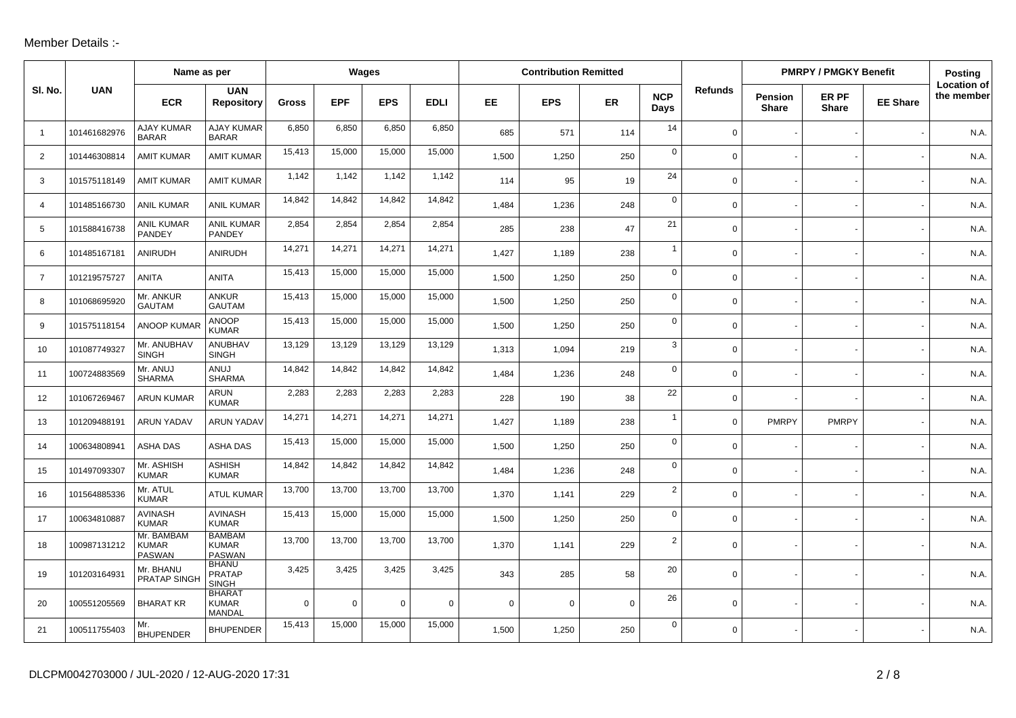## Member Details :-

|                | Name as per  |                                             |                                                |          | Wages       |                |             | <b>Contribution Remitted</b> |            |           |                    |                | <b>PMRPY / PMGKY Benefit</b>   | <b>Posting</b>        |                 |                                  |
|----------------|--------------|---------------------------------------------|------------------------------------------------|----------|-------------|----------------|-------------|------------------------------|------------|-----------|--------------------|----------------|--------------------------------|-----------------------|-----------------|----------------------------------|
| SI. No.        | <b>UAN</b>   | <b>ECR</b>                                  | <b>UAN</b><br><b>Repository</b>                | Gross    | <b>EPF</b>  | <b>EPS</b>     | <b>EDLI</b> | EE.                          | <b>EPS</b> | <b>ER</b> | <b>NCP</b><br>Days | <b>Refunds</b> | <b>Pension</b><br><b>Share</b> | ER PF<br><b>Share</b> | <b>EE Share</b> | <b>Location of</b><br>the member |
| $\overline{1}$ | 101461682976 | <b>AJAY KUMAR</b><br><b>BARAR</b>           | <b>AJAY KUMAR</b><br><b>BARAR</b>              | 6,850    | 6,850       | 6,850          | 6,850       | 685                          | 571        | 114       | 14                 | $\mathbf 0$    |                                |                       |                 | N.A.                             |
| 2              | 101446308814 | <b>AMIT KUMAR</b>                           | <b>AMIT KUMAR</b>                              | 15,413   | 15,000      | 15,000         | 15,000      | 1,500                        | 1,250      | 250       | $\mathbf 0$        | $\mathbf 0$    |                                |                       |                 | N.A.                             |
| 3              | 101575118149 | <b>AMIT KUMAR</b>                           | <b>AMIT KUMAR</b>                              | 1,142    | 1,142       | 1,142          | 1,142       | 114                          | 95         | 19        | 24                 | $\mathsf{O}$   |                                |                       |                 | N.A.                             |
| $\overline{4}$ | 101485166730 | <b>ANIL KUMAR</b>                           | <b>ANIL KUMAR</b>                              | 14,842   | 14,842      | 14,842         | 14,842      | 1,484                        | 1,236      | 248       | $\mathbf 0$        | $\mathbf 0$    |                                |                       |                 | N.A.                             |
| 5              | 101588416738 | <b>ANIL KUMAR</b><br><b>PANDEY</b>          | <b>ANIL KUMAR</b><br><b>PANDEY</b>             | 2,854    | 2,854       | 2,854          | 2,854       | 285                          | 238        | 47        | 21                 | $\mathbf 0$    |                                |                       |                 | N.A.                             |
| 6              | 101485167181 | ANIRUDH                                     | <b>ANIRUDH</b>                                 | 14,271   | 14,271      | 14,271         | 14,271      | 1,427                        | 1,189      | 238       | $\overline{1}$     | $\mathbf 0$    |                                |                       |                 | N.A.                             |
| $\overline{7}$ | 101219575727 | <b>ANITA</b>                                | <b>ANITA</b>                                   | 15,413   | 15,000      | 15,000         | 15,000      | 1,500                        | 1,250      | 250       | $\mathbf 0$        | $\mathbf 0$    |                                |                       |                 | N.A.                             |
| 8              | 101068695920 | Mr. ANKUR<br><b>GAUTAM</b>                  | <b>ANKUR</b><br><b>GAUTAM</b>                  | 15,413   | 15,000      | 15,000         | 15,000      | 1,500                        | 1,250      | 250       | $\mathbf 0$        | $\mathsf{O}$   |                                |                       |                 | N.A.                             |
| 9              | 101575118154 | <b>ANOOP KUMAF</b>                          | <b>ANOOP</b><br><b>KUMAR</b>                   | 15,413   | 15,000      | 15,000         | 15,000      | 1,500                        | 1,250      | 250       | $\mathbf 0$        | $\mathbf 0$    |                                |                       |                 | N.A.                             |
| 10             | 101087749327 | Mr. ANUBHAV<br><b>SINGH</b>                 | <b>ANUBHAV</b><br><b>SINGH</b>                 | 13,129   | 13,129      | 13,129         | 13,129      | 1,313                        | 1,094      | 219       | 3                  | $\mathsf{O}$   |                                |                       |                 | N.A.                             |
| 11             | 100724883569 | Mr. ANUJ<br><b>SHARMA</b>                   | ANUJ<br><b>SHARMA</b>                          | 14,842   | 14,842      | 14,842         | 14,842      | 1,484                        | 1,236      | 248       | $\mathbf 0$        | $\mathbf 0$    |                                |                       |                 | N.A.                             |
| 12             | 101067269467 | <b>ARUN KUMAR</b>                           | ARUN<br><b>KUMAR</b>                           | 2,283    | 2,283       | 2,283          | 2,283       | 228                          | 190        | 38        | 22                 | $\mathbf 0$    |                                |                       |                 | N.A.                             |
| 13             | 101209488191 | <b>ARUN YADAV</b>                           | <b>ARUN YADAV</b>                              | 14,271   | 14,271      | 14,271         | 14,271      | 1,427                        | 1,189      | 238       | $\mathbf{1}$       | $\mathbf 0$    | <b>PMRPY</b>                   | <b>PMRPY</b>          |                 | N.A.                             |
| 14             | 100634808941 | <b>ASHA DAS</b>                             | <b>ASHA DAS</b>                                | 15,413   | 15,000      | 15,000         | 15,000      | 1.500                        | 1,250      | 250       | $\mathbf 0$        | $\mathbf 0$    |                                |                       |                 | N.A.                             |
| 15             | 101497093307 | Mr. ASHISH<br><b>KUMAR</b>                  | <b>ASHISH</b><br><b>KUMAR</b>                  | 14,842   | 14,842      | 14,842         | 14,842      | 1,484                        | 1,236      | 248       | $\mathbf 0$        | $\mathbf 0$    |                                |                       |                 | N.A.                             |
| 16             | 101564885336 | Mr. ATUL<br><b>KUMAR</b>                    | <b>ATUL KUMAR</b>                              | 13,700   | 13,700      | 13,700         | 13,700      | 1,370                        | 1,141      | 229       | $\overline{2}$     | $\mathbf 0$    |                                |                       |                 | N.A.                             |
| 17             | 100634810887 | <b>AVINASH</b><br><b>KUMAR</b>              | <b>AVINASH</b><br><b>KUMAR</b>                 | 15,413   | 15,000      | 15,000         | 15,000      | 1,500                        | 1,250      | 250       | 0                  | $\mathbf 0$    |                                |                       |                 | N.A.                             |
| 18             | 100987131212 | Mr. BAMBAM<br><b>KUMAR</b><br><b>PASWAN</b> | <b>BAMBAM</b><br><b>KUMAR</b><br><b>PASWAN</b> | 13,700   | 13,700      | 13,700         | 13,700      | 1,370                        | 1,141      | 229       | $\overline{2}$     | $\mathbf 0$    |                                |                       |                 | N.A.                             |
| 19             | 101203164931 | Mr. BHANU<br><b>PRATAP SINGI</b>            | <b>BHANU</b><br><b>PRATAP</b><br><b>SINGH</b>  | 3,425    | 3,425       | 3,425          | 3,425       | 343                          | 285        | 58        | 20                 | $\mathbf 0$    |                                |                       |                 | N.A.                             |
| 20             | 100551205569 | <b>BHARAT KR</b>                            | <b>BHARAT</b><br><b>KUMAR</b><br>MANDAL        | $\Omega$ | $\mathbf 0$ | $\overline{0}$ | $\mathbf 0$ | $\mathbf 0$                  | 0          | 0         | 26                 | $\mathbf 0$    |                                |                       |                 | N.A.                             |
| 21             | 100511755403 | Mr.<br><b>BHUPENDER</b>                     | <b>BHUPENDER</b>                               | 15,413   | 15,000      | 15,000         | 15,000      | 1,500                        | 1,250      | 250       | 0                  | $\mathbf 0$    |                                |                       |                 | N.A.                             |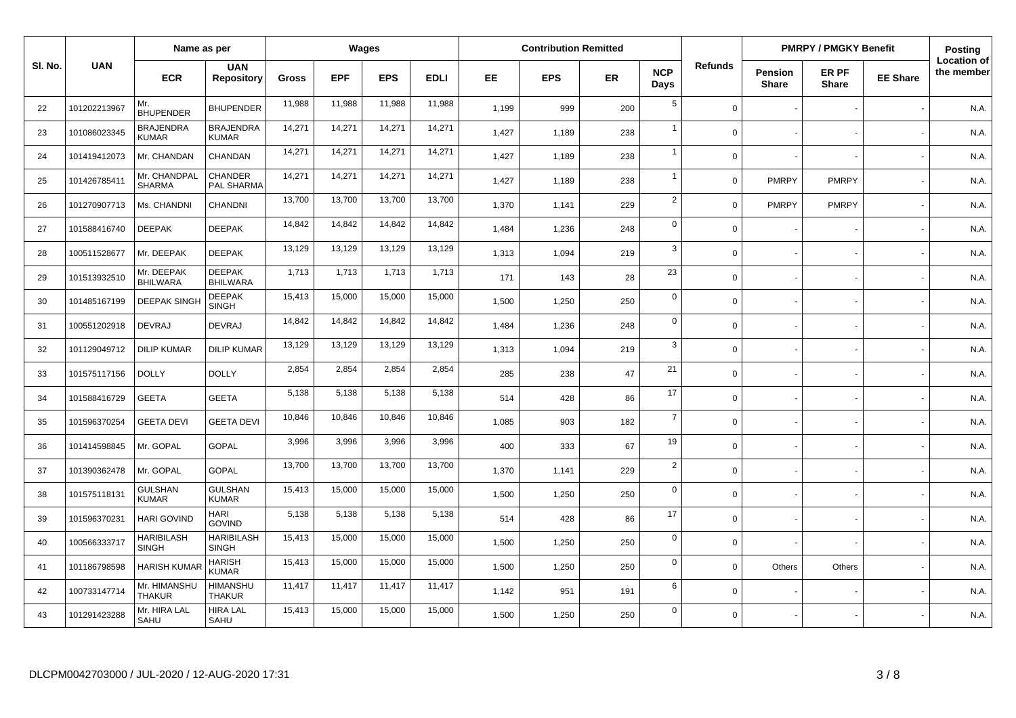|         |              |                                   | Name as per                       |        | Wages      |            |             |       | <b>Contribution Remitted</b> |           |                    |                | <b>PMRPY / PMGKY Benefit</b> |                       | Posting         |                                  |
|---------|--------------|-----------------------------------|-----------------------------------|--------|------------|------------|-------------|-------|------------------------------|-----------|--------------------|----------------|------------------------------|-----------------------|-----------------|----------------------------------|
| SI. No. | <b>UAN</b>   | <b>ECR</b>                        | <b>UAN</b><br><b>Repository</b>   | Gross  | <b>EPF</b> | <b>EPS</b> | <b>EDLI</b> | EE.   | <b>EPS</b>                   | <b>ER</b> | <b>NCP</b><br>Days | <b>Refunds</b> | Pension<br><b>Share</b>      | ER PF<br><b>Share</b> | <b>EE Share</b> | <b>Location of</b><br>the member |
| 22      | 101202213967 | Mr.<br><b>BHUPENDER</b>           | <b>BHUPENDER</b>                  | 11,988 | 11,988     | 11,988     | 11,988      | 1,199 | 999                          | 200       | $\overline{5}$     | $\mathbf 0$    |                              |                       |                 | N.A.                             |
| 23      | 101086023345 | <b>BRAJENDRA</b><br><b>KUMAR</b>  | <b>BRAJENDRA</b><br><b>KUMAR</b>  | 14,271 | 14,271     | 14,271     | 14,271      | 1,427 | 1,189                        | 238       | $\mathbf{1}$       | $\mathbf 0$    |                              |                       |                 | N.A.                             |
| 24      | 101419412073 | Mr. CHANDAN                       | CHANDAN                           | 14,271 | 14,271     | 14,271     | 14,271      | 1,427 | 1,189                        | 238       | $\mathbf{1}$       | $\Omega$       |                              |                       |                 | N.A.                             |
| 25      | 101426785411 | Mr. CHANDPAL<br><b>SHARMA</b>     | <b>CHANDER</b><br>PAL SHARMA      | 14,271 | 14,271     | 14,271     | 14,271      | 1,427 | 1,189                        | 238       | $\mathbf{1}$       | $\Omega$       | <b>PMRPY</b>                 | <b>PMRPY</b>          |                 | N.A.                             |
| 26      | 101270907713 | Ms. CHANDNI                       | CHANDNI                           | 13,700 | 13,700     | 13,700     | 13,700      | 1,370 | 1,141                        | 229       | $\overline{2}$     | $\Omega$       | <b>PMRPY</b>                 | <b>PMRPY</b>          |                 | N.A.                             |
| 27      | 101588416740 | <b>DEEPAK</b>                     | <b>DEEPAK</b>                     | 14,842 | 14,842     | 14,842     | 14,842      | 1,484 | 1,236                        | 248       | $\mathbf 0$        | $\Omega$       |                              |                       |                 | N.A.                             |
| 28      | 100511528677 | Mr. DEEPAK                        | <b>DEEPAK</b>                     | 13,129 | 13,129     | 13,129     | 13,129      | 1,313 | 1.094                        | 219       | 3                  | $\mathbf 0$    |                              |                       |                 | N.A.                             |
| 29      | 101513932510 | Mr. DEEPAK<br><b>BHILWARA</b>     | <b>DEEPAK</b><br><b>BHILWARA</b>  | 1,713  | 1,713      | 1,713      | 1,713       | 171   | 143                          | 28        | 23                 | $\mathbf 0$    |                              |                       |                 | N.A.                             |
| 30      | 101485167199 | <b>DEEPAK SINGH</b>               | <b>DEEPAK</b><br><b>SINGH</b>     | 15,413 | 15,000     | 15,000     | 15,000      | 1,500 | 1,250                        | 250       | $\mathbf 0$        | $\mathbf 0$    |                              |                       |                 | N.A.                             |
| 31      | 100551202918 | <b>DEVRAJ</b>                     | <b>DEVRAJ</b>                     | 14,842 | 14,842     | 14,842     | 14,842      | 1,484 | 1,236                        | 248       | $\mathbf 0$        | $\Omega$       |                              |                       |                 | N.A.                             |
| 32      | 101129049712 | <b>DILIP KUMAR</b>                | <b>DILIP KUMAR</b>                | 13,129 | 13,129     | 13,129     | 13,129      | 1,313 | 1,094                        | 219       | 3                  | $\Omega$       |                              |                       |                 | N.A.                             |
| 33      | 101575117156 | <b>DOLLY</b>                      | <b>DOLLY</b>                      | 2,854  | 2,854      | 2,854      | 2,854       | 285   | 238                          | 47        | 21                 | $\mathbf 0$    |                              |                       |                 | N.A.                             |
| 34      | 101588416729 | <b>GEETA</b>                      | <b>GEETA</b>                      | 5,138  | 5,138      | 5,138      | 5,138       | 514   | 428                          | 86        | 17                 | $\mathbf 0$    |                              |                       |                 | N.A.                             |
| 35      | 101596370254 | <b>GEETA DEVI</b>                 | <b>GEETA DEVI</b>                 | 10,846 | 10,846     | 10,846     | 10,846      | 1,085 | 903                          | 182       | $\overline{7}$     | $\Omega$       |                              |                       |                 | N.A.                             |
| 36      | 101414598845 | Mr. GOPAL                         | <b>GOPAL</b>                      | 3,996  | 3,996      | 3,996      | 3,996       | 400   | 333                          | 67        | 19                 | $\mathbf 0$    |                              |                       |                 | N.A.                             |
| 37      | 101390362478 | Mr. GOPAL                         | <b>GOPAL</b>                      | 13,700 | 13,700     | 13,700     | 13,700      | 1,370 | 1,141                        | 229       | $\overline{2}$     | $\mathbf 0$    |                              |                       |                 | N.A.                             |
| 38      | 101575118131 | <b>GULSHAN</b><br><b>KUMAR</b>    | <b>GULSHAN</b><br><b>KUMAR</b>    | 15,413 | 15,000     | 15,000     | 15,000      | 1,500 | 1,250                        | 250       | $\mathbf 0$        | $\mathbf 0$    |                              |                       |                 | N.A.                             |
| 39      | 101596370231 | <b>HARI GOVIND</b>                | <b>HARI</b><br><b>GOVIND</b>      | 5,138  | 5,138      | 5,138      | 5,138       | 514   | 428                          | 86        | 17                 | $\Omega$       |                              |                       |                 | N.A.                             |
| 40      | 100566333717 | <b>HARIBILASH</b><br><b>SINGH</b> | <b>HARIBILASH</b><br><b>SINGH</b> | 15,413 | 15,000     | 15,000     | 15,000      | 1,500 | 1,250                        | 250       | $\mathbf 0$        | $\mathbf 0$    |                              |                       |                 | N.A.                             |
| 41      | 101186798598 | <b>HARISH KUMAF</b>               | <b>HARISH</b><br><b>KUMAR</b>     | 15,413 | 15,000     | 15,000     | 15,000      | 1,500 | 1,250                        | 250       | $\mathbf 0$        | $\mathbf 0$    | Others                       | Others                |                 | N.A.                             |
| 42      | 100733147714 | Mr. HIMANSHU<br><b>THAKUR</b>     | <b>HIMANSHU</b><br><b>THAKUR</b>  | 11,417 | 11,417     | 11,417     | 11,417      | 1,142 | 951                          | 191       | 6                  | $\mathbf 0$    |                              |                       |                 | N.A.                             |
| 43      | 101291423288 | Mr. HIRA LAL<br>SAHU              | <b>HIRA LAL</b><br>SAHU           | 15,413 | 15,000     | 15,000     | 15,000      | 1,500 | 1,250                        | 250       | $\mathbf 0$        | $\Omega$       |                              |                       |                 | N.A.                             |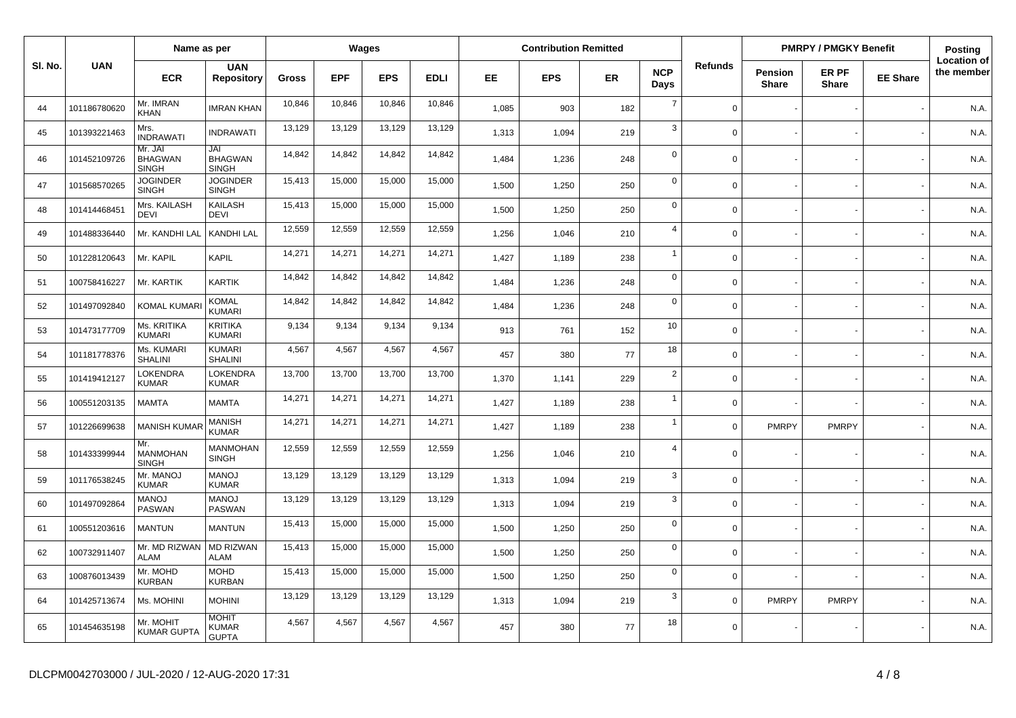|         |              | Name as per                               |                                              |              | Wages      |            |             |           | <b>Contribution Remitted</b> |           |                    |                |                                | <b>PMRPY / PMGKY Benefit</b> |                 | Posting                          |
|---------|--------------|-------------------------------------------|----------------------------------------------|--------------|------------|------------|-------------|-----------|------------------------------|-----------|--------------------|----------------|--------------------------------|------------------------------|-----------------|----------------------------------|
| SI. No. | <b>UAN</b>   | <b>ECR</b>                                | <b>UAN</b><br><b>Repository</b>              | <b>Gross</b> | <b>EPF</b> | <b>EPS</b> | <b>EDLI</b> | <b>EE</b> | <b>EPS</b>                   | <b>ER</b> | <b>NCP</b><br>Days | <b>Refunds</b> | <b>Pension</b><br><b>Share</b> | ER PF<br><b>Share</b>        | <b>EE Share</b> | <b>Location of</b><br>the member |
| 44      | 101186780620 | Mr. IMRAN<br><b>KHAN</b>                  | <b>IMRAN KHAN</b>                            | 10,846       | 10,846     | 10,846     | 10,846      | 1,085     | 903                          | 182       | $\overline{7}$     | $\mathbf 0$    |                                |                              |                 | N.A.                             |
| 45      | 101393221463 | Mrs.<br><b>INDRAWATI</b>                  | <b>INDRAWATI</b>                             | 13,129       | 13,129     | 13,129     | 13,129      | 1,313     | 1,094                        | 219       | 3                  | $\mathbf 0$    |                                |                              |                 | N.A.                             |
| 46      | 101452109726 | Mr. JAI<br><b>BHAGWAN</b><br><b>SINGH</b> | JAI<br><b>BHAGWAN</b><br><b>SINGH</b>        | 14,842       | 14,842     | 14,842     | 14,842      | 1,484     | 1,236                        | 248       | $\mathbf 0$        | $\Omega$       |                                |                              |                 | N.A.                             |
| 47      | 101568570265 | <b>JOGINDER</b><br><b>SINGH</b>           | <b>JOGINDER</b><br><b>SINGH</b>              | 15,413       | 15,000     | 15,000     | 15,000      | 1,500     | 1,250                        | 250       | $\mathbf 0$        | $\Omega$       |                                |                              |                 | N.A.                             |
| 48      | 101414468451 | Mrs. KAILASH<br><b>DEVI</b>               | KAILASH<br><b>DEVI</b>                       | 15,413       | 15,000     | 15,000     | 15,000      | 1,500     | 1,250                        | 250       | $\mathbf 0$        | $\Omega$       |                                |                              |                 | N.A.                             |
| 49      | 101488336440 | Mr. KANDHI LAL                            | KANDHI LAL                                   | 12,559       | 12,559     | 12,559     | 12,559      | 1,256     | 1,046                        | 210       | $\overline{4}$     | $\Omega$       |                                |                              |                 | N.A.                             |
| 50      | 101228120643 | Mr. KAPIL                                 | KAPIL                                        | 14,271       | 14,271     | 14,271     | 14,271      | 1,427     | 1,189                        | 238       | $\overline{1}$     | $\Omega$       |                                |                              |                 | N.A.                             |
| 51      | 100758416227 | Mr. KARTIK                                | <b>KARTIK</b>                                | 14,842       | 14,842     | 14,842     | 14,842      | 1,484     | 1,236                        | 248       | $\mathbf 0$        | $\Omega$       |                                |                              |                 | N.A.                             |
| 52      | 101497092840 | <b>KOMAL KUMAR</b>                        | <b>KOMAL</b><br><b>KUMARI</b>                | 14,842       | 14,842     | 14,842     | 14,842      | 1,484     | 1,236                        | 248       | $\mathbf 0$        | $\Omega$       |                                |                              |                 | N.A.                             |
| 53      | 101473177709 | Ms. KRITIKA<br>KUMARI                     | <b>KRITIKA</b><br>KUMARI                     | 9,134        | 9,134      | 9,134      | 9,134       | 913       | 761                          | 152       | 10                 | $\Omega$       |                                |                              |                 | N.A.                             |
| 54      | 101181778376 | Ms. KUMARI<br><b>SHALINI</b>              | <b>KUMARI</b><br><b>SHALINI</b>              | 4,567        | 4,567      | 4,567      | 4,567       | 457       | 380                          | 77        | 18                 | $\Omega$       |                                |                              |                 | N.A.                             |
| 55      | 101419412127 | LOKENDRA<br><b>KUMAR</b>                  | LOKENDRA<br><b>KUMAR</b>                     | 13,700       | 13,700     | 13,700     | 13,700      | 1,370     | 1,141                        | 229       | 2                  | $\Omega$       |                                |                              |                 | N.A.                             |
| 56      | 100551203135 | <b>MAMTA</b>                              | <b>MAMTA</b>                                 | 14,271       | 14,271     | 14,271     | 14,271      | 1,427     | 1,189                        | 238       | $\overline{1}$     | $\Omega$       |                                |                              |                 | N.A.                             |
| 57      | 101226699638 | <b>MANISH KUMAR</b>                       | MANISH<br><b>KUMAR</b>                       | 14,271       | 14,271     | 14,271     | 14,271      | 1,427     | 1,189                        | 238       | $\overline{1}$     | $\Omega$       | <b>PMRPY</b>                   | <b>PMRPY</b>                 |                 | N.A.                             |
| 58      | 101433399944 | Mr.<br>MANMOHAN<br><b>SINGH</b>           | <b>MANMOHAN</b><br><b>SINGH</b>              | 12,559       | 12,559     | 12,559     | 12,559      | 1,256     | 1,046                        | 210       | $\overline{4}$     | $\Omega$       |                                |                              |                 | N.A.                             |
| 59      | 101176538245 | Mr. MANOJ<br><b>KUMAR</b>                 | <b>MANOJ</b><br><b>KUMAR</b>                 | 13,129       | 13,129     | 13,129     | 13,129      | 1,313     | 1,094                        | 219       | $\mathbf{3}$       | $\Omega$       |                                |                              |                 | N.A.                             |
| 60      | 101497092864 | <b>MANOJ</b><br><b>PASWAN</b>             | <b>LONAM</b><br><b>PASWAN</b>                | 13,129       | 13,129     | 13,129     | 13,129      | 1,313     | 1,094                        | 219       | $\mathbf{3}$       | $\Omega$       |                                |                              |                 | N.A.                             |
| 61      | 100551203616 | <b>MANTUN</b>                             | <b>MANTUN</b>                                | 15,413       | 15,000     | 15,000     | 15,000      | 1,500     | 1,250                        | 250       | $\mathbf 0$        | $\Omega$       |                                |                              |                 | N.A.                             |
| 62      | 100732911407 | Mr. MD RIZWAN<br><b>ALAM</b>              | <b>MD RIZWAN</b><br><b>ALAM</b>              | 15,413       | 15,000     | 15,000     | 15,000      | 1,500     | 1,250                        | 250       | $\mathbf 0$        | $\Omega$       |                                |                              |                 | N.A.                             |
| 63      | 100876013439 | Mr. MOHD<br>KURBAN                        | MOHD<br><b>KURBAN</b>                        | 15,413       | 15,000     | 15,000     | 15,000      | 1,500     | 1,250                        | 250       | $\mathbf 0$        | $\Omega$       |                                |                              |                 | N.A.                             |
| 64      | 101425713674 | Ms. MOHINI                                | <b>MOHINI</b>                                | 13,129       | 13,129     | 13,129     | 13,129      | 1,313     | 1,094                        | 219       | 3                  | $\Omega$       | <b>PMRPY</b>                   | <b>PMRPY</b>                 |                 | N.A.                             |
| 65      | 101454635198 | Mr. MOHIT<br><b>KUMAR GUPTA</b>           | <b>MOHIT</b><br><b>KUMAR</b><br><b>GUPTA</b> | 4,567        | 4,567      | 4,567      | 4,567       | 457       | 380                          | 77        | 18                 | $\mathbf 0$    |                                |                              |                 | N.A.                             |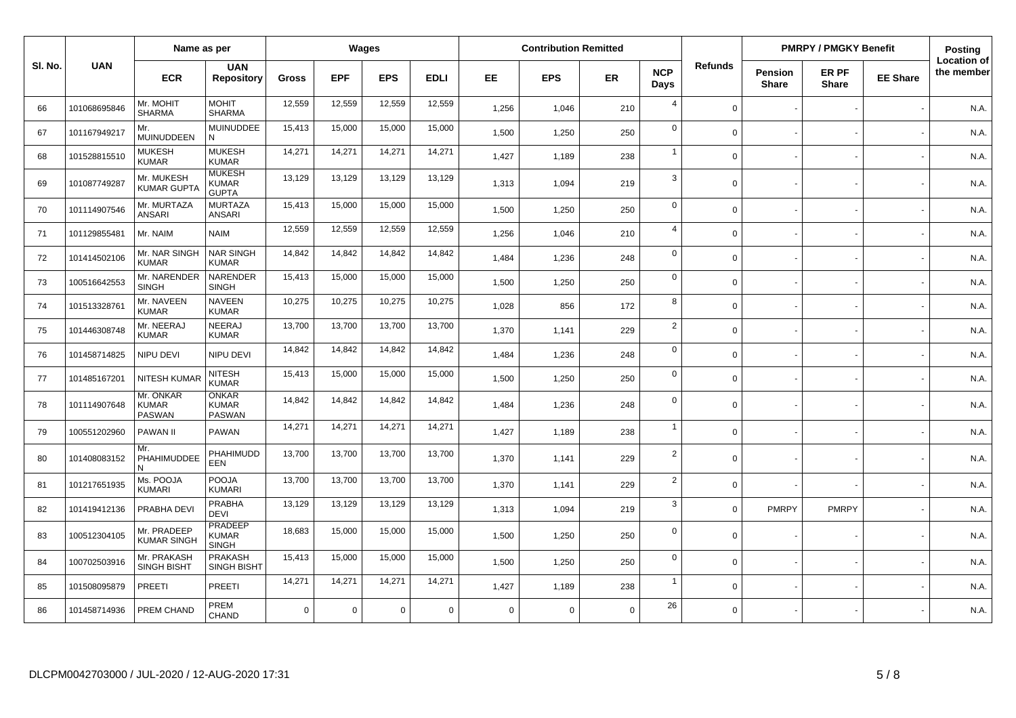|         | Name as per  |                                            | Wages                                          |              |            |            |             | <b>Contribution Remitted</b> |             |             |                    |                | <b>PMRPY / PMGKY Benefit</b>   |                       | Posting         |                                  |
|---------|--------------|--------------------------------------------|------------------------------------------------|--------------|------------|------------|-------------|------------------------------|-------------|-------------|--------------------|----------------|--------------------------------|-----------------------|-----------------|----------------------------------|
| SI. No. | <b>UAN</b>   | <b>ECR</b>                                 | <b>UAN</b><br><b>Repository</b>                | <b>Gross</b> | <b>EPF</b> | <b>EPS</b> | <b>EDLI</b> | EE.                          | <b>EPS</b>  | <b>ER</b>   | <b>NCP</b><br>Days | <b>Refunds</b> | <b>Pension</b><br><b>Share</b> | ER PF<br><b>Share</b> | <b>EE Share</b> | <b>Location of</b><br>the member |
| 66      | 101068695846 | Mr. MOHIT<br><b>SHARMA</b>                 | <b>MOHIT</b><br><b>SHARMA</b>                  | 12,559       | 12,559     | 12,559     | 12,559      | 1,256                        | 1,046       | 210         | $\overline{4}$     | $\Omega$       |                                |                       |                 | N.A.                             |
| 67      | 101167949217 | Mr.<br><b>MUINUDDEEN</b>                   | <b>MUINUDDEE</b><br>N                          | 15,413       | 15,000     | 15,000     | 15,000      | 1,500                        | 1,250       | 250         | $\mathbf 0$        | $\Omega$       |                                |                       |                 | N.A.                             |
| 68      | 101528815510 | <b>MUKESH</b><br><b>KUMAR</b>              | <b>MUKESH</b><br><b>KUMAR</b>                  | 14,271       | 14,271     | 14,271     | 14,271      | 1,427                        | 1,189       | 238         | $\overline{1}$     | $\Omega$       |                                |                       |                 | N.A.                             |
| 69      | 101087749287 | Mr. MUKESH<br><b>KUMAR GUPT/</b>           | <b>MUKESH</b><br><b>KUMAR</b><br><b>GUPTA</b>  | 13,129       | 13,129     | 13,129     | 13,129      | 1,313                        | 1,094       | 219         | 3                  | $\Omega$       |                                |                       |                 | N.A.                             |
| 70      | 101114907546 | Mr. MURTAZA<br>ANSARI                      | <b>MURTAZA</b><br><b>ANSARI</b>                | 15,413       | 15,000     | 15,000     | 15,000      | 1,500                        | 1,250       | 250         | $\mathsf 0$        | $\Omega$       |                                |                       |                 | N.A.                             |
| 71      | 101129855481 | Mr. NAIM                                   | <b>NAIM</b>                                    | 12,559       | 12,559     | 12,559     | 12,559      | 1,256                        | 1,046       | 210         | $\overline{4}$     | $\Omega$       |                                |                       |                 | N.A.                             |
| 72      | 101414502106 | Mr. NAR SINGH<br><b>KUMAR</b>              | <b>NAR SINGH</b><br><b>KUMAR</b>               | 14,842       | 14,842     | 14,842     | 14,842      | 1,484                        | 1,236       | 248         | $\mathbf 0$        | $\Omega$       |                                |                       |                 | N.A.                             |
| 73      | 100516642553 | Mr. NARENDER<br><b>SINGH</b>               | NARENDER<br><b>SINGH</b>                       | 15,413       | 15,000     | 15,000     | 15,000      | 1,500                        | 1,250       | 250         | $\mathbf 0$        | $\mathbf 0$    |                                |                       |                 | N.A.                             |
| 74      | 101513328761 | Mr. NAVEEN<br><b>KUMAR</b>                 | <b>NAVEEN</b><br><b>KUMAR</b>                  | 10,275       | 10,275     | 10,275     | 10,275      | 1,028                        | 856         | 172         | 8                  | $\Omega$       |                                |                       |                 | N.A.                             |
| 75      | 101446308748 | Mr. NEERAJ<br><b>KUMAR</b>                 | NEERAJ<br><b>KUMAR</b>                         | 13,700       | 13,700     | 13,700     | 13,700      | 1,370                        | 1,141       | 229         | $\overline{2}$     | $\Omega$       |                                |                       |                 | N.A.                             |
| 76      | 101458714825 | NIPU DEVI                                  | NIPU DEVI                                      | 14,842       | 14,842     | 14,842     | 14,842      | 1,484                        | 1,236       | 248         | $\mathbf 0$        | $\Omega$       |                                |                       |                 | N.A.                             |
| 77      | 101485167201 | <b>NITESH KUMA</b>                         | <b>NITESH</b><br><b>KUMAR</b>                  | 15,413       | 15,000     | 15,000     | 15,000      | 1.500                        | 1,250       | 250         | $\mathbf 0$        | $\Omega$       |                                |                       |                 | N.A.                             |
| 78      | 101114907648 | Mr. ONKAR<br><b>KUMAR</b><br><b>PASWAN</b> | <b>ONKAR</b><br><b>KUMAR</b><br><b>PASWAN</b>  | 14,842       | 14,842     | 14,842     | 14,842      | 1,484                        | 1,236       | 248         | $\mathbf 0$        | $\Omega$       |                                |                       |                 | N.A.                             |
| 79      | 100551202960 | <b>PAWAN II</b>                            | <b>PAWAN</b>                                   | 14,271       | 14,271     | 14,271     | 14,271      | 1.427                        | 1,189       | 238         | $\overline{1}$     | $\Omega$       |                                |                       |                 | N.A.                             |
| 80      | 101408083152 | Mr.<br>PHAHIMUDDEE<br>N                    | PHAHIMUDD<br>EEN                               | 13,700       | 13,700     | 13,700     | 13,700      | 1,370                        | 1,141       | 229         | $\overline{2}$     | $\Omega$       |                                |                       |                 | N.A.                             |
| 81      | 101217651935 | Ms. POOJA<br><b>KUMARI</b>                 | POOJA<br><b>KUMARI</b>                         | 13,700       | 13,700     | 13,700     | 13,700      | 1,370                        | 1,141       | 229         | $\overline{2}$     | $\Omega$       |                                |                       |                 | N.A.                             |
| 82      | 101419412136 | PRABHA DEVI                                | <b>PRABHA</b><br><b>DEVI</b>                   | 13,129       | 13,129     | 13,129     | 13,129      | 1,313                        | 1,094       | 219         | 3                  | $\Omega$       | <b>PMRPY</b>                   | <b>PMRPY</b>          |                 | N.A.                             |
| 83      | 100512304105 | Mr. PRADEEP<br><b>KUMAR SINGH</b>          | <b>PRADEEP</b><br><b>KUMAR</b><br><b>SINGH</b> | 18,683       | 15,000     | 15,000     | 15,000      | 1,500                        | 1,250       | 250         | $\mathbf 0$        | $\Omega$       |                                |                       |                 | N.A.                             |
| 84      | 100702503916 | Mr. PRAKASH<br><b>SINGH BISHT</b>          | <b>PRAKASH</b><br><b>SINGH BISHT</b>           | 15,413       | 15,000     | 15,000     | 15,000      | 1,500                        | 1,250       | 250         | $\mathbf 0$        | $\Omega$       |                                |                       |                 | N.A.                             |
| 85      | 101508095879 | <b>PREETI</b>                              | PREETI                                         | 14,271       | 14,271     | 14,271     | 14,271      | 1,427                        | 1,189       | 238         | $\overline{1}$     | $\Omega$       |                                |                       |                 | N.A.                             |
| 86      | 101458714936 | PREM CHAND                                 | PREM<br><b>CHAND</b>                           | $\Omega$     | $\Omega$   | $\Omega$   | $\Omega$    | $\Omega$                     | $\mathbf 0$ | $\mathbf 0$ | 26                 | $\Omega$       |                                |                       |                 | N.A.                             |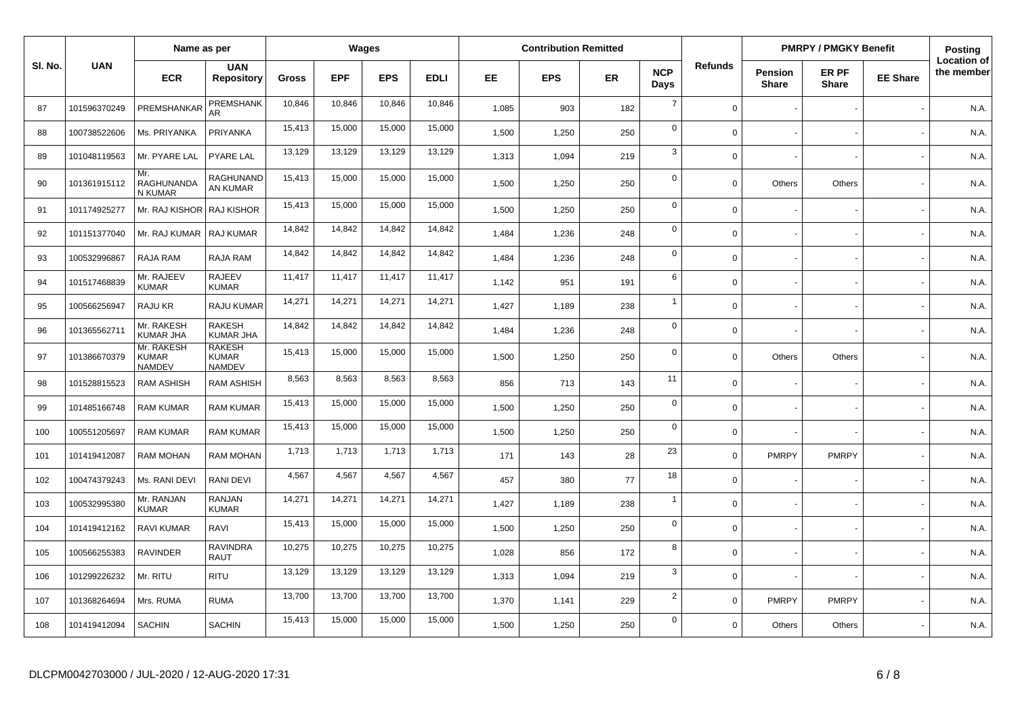|         | Name as per  |                                             | Wages                                          |              |            |            |             | <b>Contribution Remitted</b> |            |           |                    |                | <b>PMRPY / PMGKY Benefit</b>   |                       | Posting         |                                  |
|---------|--------------|---------------------------------------------|------------------------------------------------|--------------|------------|------------|-------------|------------------------------|------------|-----------|--------------------|----------------|--------------------------------|-----------------------|-----------------|----------------------------------|
| SI. No. | <b>UAN</b>   | <b>ECR</b>                                  | <b>UAN</b><br><b>Repository</b>                | <b>Gross</b> | <b>EPF</b> | <b>EPS</b> | <b>EDLI</b> | EE.                          | <b>EPS</b> | <b>ER</b> | <b>NCP</b><br>Days | <b>Refunds</b> | <b>Pension</b><br><b>Share</b> | ER PF<br><b>Share</b> | <b>EE Share</b> | <b>Location of</b><br>the member |
| 87      | 101596370249 | PREMSHANKAR                                 | PREMSHANK<br>AR                                | 10,846       | 10,846     | 10,846     | 10,846      | 1,085                        | 903        | 182       | $\overline{7}$     | $\Omega$       |                                |                       |                 | N.A.                             |
| 88      | 100738522606 | Ms. PRIYANKA                                | PRIYANKA                                       | 15.413       | 15,000     | 15,000     | 15,000      | 1,500                        | 1,250      | 250       | $\mathbf 0$        | $\Omega$       |                                |                       |                 | N.A.                             |
| 89      | 101048119563 | Mr. PYARE LAL                               | <b>PYARE LAL</b>                               | 13,129       | 13,129     | 13,129     | 13,129      | 1,313                        | 1,094      | 219       | $\mathbf{3}$       | $\Omega$       |                                |                       |                 | N.A.                             |
| 90      | 101361915112 | Mr.<br>RAGHUNANDA<br>N KUMAR                | RAGHUNAND<br>AN KUMAR                          | 15,413       | 15,000     | 15,000     | 15,000      | 1,500                        | 1,250      | 250       | $\mathbf 0$        | $\Omega$       | Others                         | Others                |                 | N.A.                             |
| 91      | 101174925277 | Mr. RAJ KISHOR   RAJ KISHOR                 |                                                | 15,413       | 15,000     | 15,000     | 15,000      | 1,500                        | 1,250      | 250       | $\mathbf 0$        | $\Omega$       |                                |                       |                 | N.A.                             |
| 92      | 101151377040 | Mr. RAJ KUMAR                               | RAJ KUMAR                                      | 14,842       | 14,842     | 14,842     | 14,842      | 1.484                        | 1,236      | 248       | $\mathbf 0$        | $\Omega$       |                                |                       |                 | N.A.                             |
| 93      | 100532996867 | RAJA RAM                                    | RAJA RAM                                       | 14,842       | 14,842     | 14,842     | 14,842      | 1,484                        | 1,236      | 248       | $\mathbf 0$        | $\Omega$       |                                |                       |                 | N.A.                             |
| 94      | 101517468839 | Mr. RAJEEV<br><b>KUMAR</b>                  | <b>RAJEEV</b><br><b>KUMAR</b>                  | 11,417       | 11,417     | 11,417     | 11,417      | 1,142                        | 951        | 191       | 6                  | $\Omega$       |                                |                       |                 | N.A.                             |
| 95      | 100566256947 | RAJU KR                                     | RAJU KUMAR                                     | 14,271       | 14,271     | 14,271     | 14,271      | 1,427                        | 1,189      | 238       | $\overline{1}$     | $\Omega$       |                                |                       |                 | N.A.                             |
| 96      | 101365562711 | Mr. RAKESH<br><b>KUMAR JHA</b>              | <b>RAKESH</b><br><b>KUMAR JHA</b>              | 14,842       | 14,842     | 14,842     | 14,842      | 1,484                        | 1,236      | 248       | $\mathbf 0$        | $\Omega$       |                                |                       |                 | N.A.                             |
| 97      | 101386670379 | Mr. RAKESH<br><b>KUMAR</b><br><b>NAMDEV</b> | <b>RAKESH</b><br><b>KUMAR</b><br><b>NAMDEV</b> | 15,413       | 15,000     | 15,000     | 15,000      | 1,500                        | 1,250      | 250       | $\mathbf 0$        | $\Omega$       | Others                         | Others                |                 | N.A.                             |
| 98      | 101528815523 | <b>RAM ASHISH</b>                           | <b>RAM ASHISH</b>                              | 8,563        | 8,563      | 8,563      | 8,563       | 856                          | 713        | 143       | 11                 | $\mathbf 0$    |                                |                       |                 | N.A.                             |
| 99      | 101485166748 | <b>RAM KUMAR</b>                            | <b>RAM KUMAR</b>                               | 15,413       | 15,000     | 15,000     | 15,000      | 1,500                        | 1,250      | 250       | $\mathbf 0$        | $\Omega$       |                                |                       |                 | N.A.                             |
| 100     | 100551205697 | <b>RAM KUMAR</b>                            | <b>RAM KUMAR</b>                               | 15,413       | 15,000     | 15,000     | 15,000      | 1,500                        | 1,250      | 250       | $\mathbf 0$        | $\Omega$       |                                |                       |                 | N.A.                             |
| 101     | 101419412087 | <b>RAM MOHAN</b>                            | <b>RAM MOHAN</b>                               | 1,713        | 1,713      | 1,713      | 1,713       | 171                          | 143        | 28        | 23                 | $\Omega$       | <b>PMRPY</b>                   | <b>PMRPY</b>          |                 | N.A.                             |
| 102     | 100474379243 | Ms. RANI DEVI                               | RANI DEVI                                      | 4,567        | 4,567      | 4,567      | 4,567       | 457                          | 380        | 77        | 18                 | $\mathbf 0$    |                                |                       |                 | N.A.                             |
| 103     | 100532995380 | Mr. RANJAN<br><b>KUMAR</b>                  | <b>RANJAN</b><br><b>KUMAR</b>                  | 14,271       | 14,271     | 14,271     | 14,271      | 1,427                        | 1,189      | 238       | $\overline{1}$     | $\Omega$       |                                |                       |                 | N.A.                             |
| 104     | 101419412162 | <b>RAVI KUMAR</b>                           | RAVI                                           | 15,413       | 15,000     | 15,000     | 15,000      | 1,500                        | 1,250      | 250       | $\mathbf 0$        | $\mathbf 0$    |                                |                       |                 | N.A.                             |
| 105     | 100566255383 | <b>RAVINDER</b>                             | <b>RAVINDRA</b><br><b>RAUT</b>                 | 10,275       | 10,275     | 10,275     | 10,275      | 1,028                        | 856        | 172       | 8                  | $\Omega$       |                                |                       |                 | N.A.                             |
| 106     | 101299226232 | Mr. RITU                                    | <b>RITU</b>                                    | 13,129       | 13,129     | 13,129     | 13,129      | 1,313                        | 1,094      | 219       | $\mathbf{3}$       | $\Omega$       |                                |                       |                 | N.A.                             |
| 107     | 101368264694 | Mrs. RUMA                                   | <b>RUMA</b>                                    | 13,700       | 13,700     | 13,700     | 13,700      | 1,370                        | 1,141      | 229       | $\overline{2}$     | $\Omega$       | <b>PMRPY</b>                   | <b>PMRPY</b>          |                 | N.A.                             |
| 108     | 101419412094 | <b>SACHIN</b>                               | SACHIN                                         | 15,413       | 15,000     | 15,000     | 15,000      | 1,500                        | 1,250      | 250       | $\overline{0}$     | $\Omega$       | Others                         | Others                |                 | N.A.                             |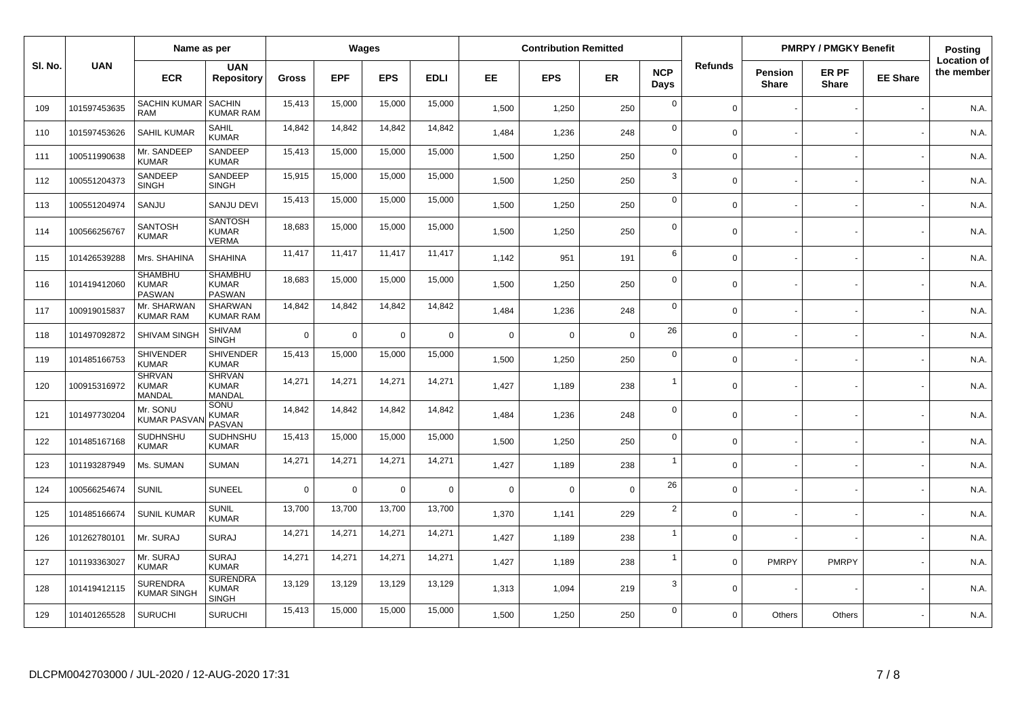|        | Name as per  |                                                 | Wages                                           |              |            |            |             | <b>Contribution Remitted</b> |            |             |                    |                | <b>PMRPY / PMGKY Benefit</b> |                       | Posting         |                                  |
|--------|--------------|-------------------------------------------------|-------------------------------------------------|--------------|------------|------------|-------------|------------------------------|------------|-------------|--------------------|----------------|------------------------------|-----------------------|-----------------|----------------------------------|
| SI. No | <b>UAN</b>   | <b>ECR</b>                                      | <b>UAN</b><br><b>Repository</b>                 | <b>Gross</b> | <b>EPF</b> | <b>EPS</b> | <b>EDLI</b> | <b>EE</b>                    | <b>EPS</b> | <b>ER</b>   | <b>NCP</b><br>Days | <b>Refunds</b> | Pension<br><b>Share</b>      | ER PF<br><b>Share</b> | <b>EE Share</b> | <b>Location of</b><br>the member |
| 109    | 101597453635 | <b>SACHIN KUMAR</b><br><b>RAM</b>               | <b>SACHIN</b><br>KUMAR RAM                      | 15,413       | 15,000     | 15,000     | 15,000      | 1,500                        | 1,250      | 250         | $\mathbf 0$        | $\mathbf 0$    |                              |                       |                 | N.A.                             |
| 110    | 101597453626 | <b>SAHIL KUMAR</b>                              | <b>SAHIL</b><br><b>KUMAR</b>                    | 14,842       | 14,842     | 14,842     | 14,842      | 1.484                        | 1,236      | 248         | $\mathbf 0$        | $\Omega$       |                              |                       |                 | N.A.                             |
| 111    | 100511990638 | Mr. SANDEEP<br><b>KUMAR</b>                     | SANDEEP<br><b>KUMAR</b>                         | 15,413       | 15,000     | 15,000     | 15,000      | 1,500                        | 1,250      | 250         | $\mathbf 0$        | $\Omega$       |                              |                       |                 | N.A.                             |
| 112    | 100551204373 | SANDEEP<br><b>SINGH</b>                         | SANDEEP<br><b>SINGH</b>                         | 15,915       | 15,000     | 15,000     | 15,000      | 1,500                        | 1,250      | 250         | $\mathbf{3}$       | $\Omega$       |                              |                       |                 | N.A.                             |
| 113    | 100551204974 | SANJU                                           | <b>SANJU DEVI</b>                               | 15,413       | 15,000     | 15,000     | 15,000      | 1,500                        | 1,250      | 250         | $\mathbf 0$        | $\Omega$       |                              |                       |                 | N.A.                             |
| 114    | 100566256767 | SANTOSH<br><b>KUMAR</b>                         | <b>SANTOSH</b><br><b>KUMAR</b><br><b>VERMA</b>  | 18,683       | 15,000     | 15,000     | 15,000      | 1,500                        | 1,250      | 250         | $\mathbf 0$        | $\Omega$       |                              |                       |                 | N.A.                             |
| 115    | 101426539288 | Mrs. SHAHINA                                    | <b>SHAHINA</b>                                  | 11,417       | 11,417     | 11,417     | 11,417      | 1,142                        | 951        | 191         | 6                  | $\Omega$       |                              |                       |                 | N.A.                             |
| 116    | 101419412060 | <b>SHAMBHU</b><br><b>KUMAR</b><br><b>PASWAN</b> | <b>SHAMBHU</b><br><b>KUMAR</b><br>PASWAN        | 18,683       | 15,000     | 15,000     | 15,000      | 1,500                        | 1,250      | 250         | $\mathbf 0$        | $\Omega$       |                              |                       |                 | N.A.                             |
| 117    | 100919015837 | Mr. SHARWAN<br><b>KUMAR RAM</b>                 | <b>SHARWAN</b><br><b>KUMAR RAM</b>              | 14,842       | 14,842     | 14,842     | 14,842      | 1,484                        | 1,236      | 248         | $\mathbf 0$        | $\Omega$       |                              |                       |                 | N.A.                             |
| 118    | 101497092872 | SHIVAM SINGH                                    | SHIVAM<br><b>SINGH</b>                          | $\Omega$     | $\Omega$   | $\Omega$   | $\mathsf 0$ | $\Omega$                     | $\Omega$   | $\mathbf 0$ | 26                 | $\Omega$       |                              |                       |                 | N.A.                             |
| 119    | 101485166753 | <b>SHIVENDER</b><br><b>KUMAR</b>                | <b>SHIVENDER</b><br><b>KUMAR</b>                | 15,413       | 15,000     | 15,000     | 15,000      | 1,500                        | 1,250      | 250         | $\mathbf 0$        | $\Omega$       |                              |                       |                 | N.A.                             |
| 120    | 100915316972 | <b>SHRVAN</b><br><b>KUMAR</b><br>MANDAL         | <b>SHRVAN</b><br><b>KUMAR</b><br><b>MANDAL</b>  | 14,271       | 14,271     | 14,271     | 14,271      | 1,427                        | 1,189      | 238         | $\overline{1}$     | $\Omega$       |                              |                       |                 | N.A.                             |
| 121    | 101497730204 | Mr. SONU<br><b>KUMAR PASVA</b>                  | SONU<br><b>KUMAR</b><br>PASVAN                  | 14,842       | 14,842     | 14,842     | 14,842      | 1,484                        | 1,236      | 248         | $\mathbf 0$        | $\Omega$       |                              |                       |                 | N.A.                             |
| 122    | 101485167168 | SUDHNSHU<br><b>KUMAR</b>                        | SUDHNSHU<br><b>KUMAR</b>                        | 15,413       | 15,000     | 15,000     | 15,000      | 1,500                        | 1,250      | 250         | $\mathbf 0$        | $\Omega$       |                              |                       |                 | N.A.                             |
| 123    | 101193287949 | Ms. SUMAN                                       | <b>SUMAN</b>                                    | 14,271       | 14,271     | 14,271     | 14,271      | 1,427                        | 1,189      | 238         | $\overline{1}$     | $\Omega$       |                              |                       |                 | N.A.                             |
| 124    | 100566254674 | <b>SUNIL</b>                                    | <b>SUNEEL</b>                                   | $\Omega$     | $\Omega$   | $\Omega$   | $\mathbf 0$ | $\Omega$                     | 0          | $\mathbf 0$ | 26                 | $\Omega$       |                              |                       |                 | N.A.                             |
| 125    | 101485166674 | <b>SUNIL KUMAR</b>                              | <b>SUNIL</b><br><b>KUMAR</b>                    | 13,700       | 13,700     | 13,700     | 13,700      | 1,370                        | 1,141      | 229         | $\overline{2}$     | $\Omega$       |                              |                       |                 | N.A.                             |
| 126    | 101262780101 | Mr. SURAJ                                       | <b>SURAJ</b>                                    | 14,271       | 14,271     | 14,271     | 14,271      | 1,427                        | 1,189      | 238         | $\overline{1}$     | $\Omega$       |                              |                       |                 | N.A.                             |
| 127    | 101193363027 | Mr. SURAJ<br><b>KUMAR</b>                       | <b>SURAJ</b><br><b>KUMAR</b>                    | 14,271       | 14,271     | 14,271     | 14,271      | 1,427                        | 1,189      | 238         | $\overline{1}$     | $\Omega$       | <b>PMRPY</b>                 | <b>PMRPY</b>          |                 | N.A.                             |
| 128    | 101419412115 | <b>SURENDRA</b><br><b>KUMAR SINGH</b>           | <b>SURENDRA</b><br><b>KUMAR</b><br><b>SINGH</b> | 13,129       | 13,129     | 13,129     | 13,129      | 1,313                        | 1,094      | 219         | 3                  | $\Omega$       |                              |                       |                 | N.A.                             |
| 129    | 101401265528 | <b>SURUCHI</b>                                  | <b>SURUCHI</b>                                  | 15,413       | 15,000     | 15,000     | 15,000      | 1,500                        | 1,250      | 250         | $\mathbf 0$        | $\Omega$       | Others                       | Others                |                 | N.A.                             |